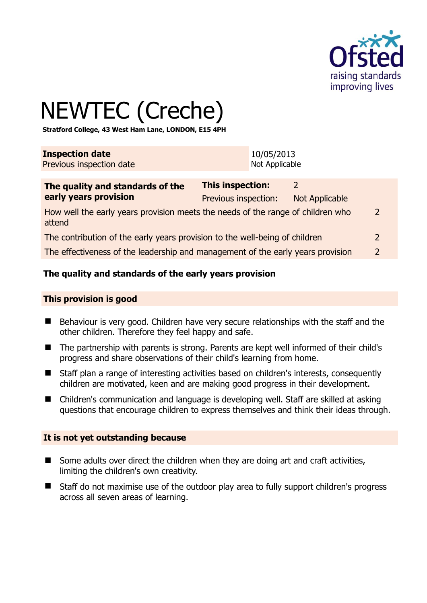

# NEWTEC (Creche)

**Stratford College, 43 West Ham Lane, LONDON, E15 4PH** 

| <b>Inspection date</b>   | 10/05/2013     |
|--------------------------|----------------|
| Previous inspection date | Not Applicable |

| The quality and standards of the<br>early years provision                                 | This inspection:     |                |               |
|-------------------------------------------------------------------------------------------|----------------------|----------------|---------------|
|                                                                                           | Previous inspection: | Not Applicable |               |
| How well the early years provision meets the needs of the range of children who<br>attend |                      |                | 2             |
| The contribution of the early years provision to the well-being of children               |                      |                | 2             |
| The effectiveness of the leadership and management of the early years provision           |                      |                | $\mathcal{D}$ |
|                                                                                           |                      |                |               |

# **The quality and standards of the early years provision**

#### **This provision is good**

- Behaviour is very good. Children have very secure relationships with the staff and the other children. Therefore they feel happy and safe.
- The partnership with parents is strong. Parents are kept well informed of their child's progress and share observations of their child's learning from home.
- Staff plan a range of interesting activities based on children's interests, consequently children are motivated, keen and are making good progress in their development.
- Children's communication and language is developing well. Staff are skilled at asking questions that encourage children to express themselves and think their ideas through.

#### **It is not yet outstanding because**

- Some adults over direct the children when they are doing art and craft activities, limiting the children's own creativity.
- Staff do not maximise use of the outdoor play area to fully support children's progress across all seven areas of learning.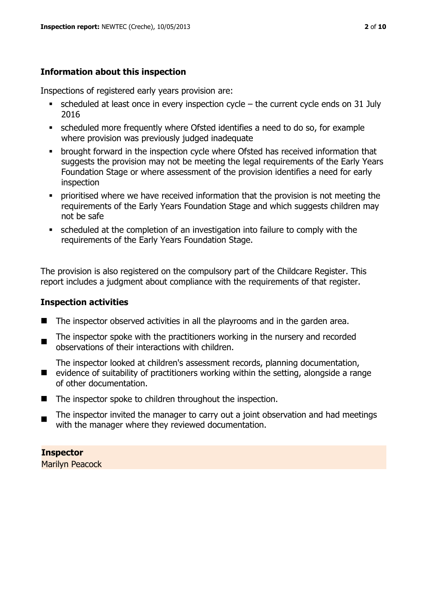# **Information about this inspection**

Inspections of registered early years provision are:

- $\bullet$  scheduled at least once in every inspection cycle the current cycle ends on 31 July 2016
- scheduled more frequently where Ofsted identifies a need to do so, for example where provision was previously judged inadequate
- **•** brought forward in the inspection cycle where Ofsted has received information that suggests the provision may not be meeting the legal requirements of the Early Years Foundation Stage or where assessment of the provision identifies a need for early inspection
- **•** prioritised where we have received information that the provision is not meeting the requirements of the Early Years Foundation Stage and which suggests children may not be safe
- scheduled at the completion of an investigation into failure to comply with the requirements of the Early Years Foundation Stage.

The provision is also registered on the compulsory part of the Childcare Register. This report includes a judgment about compliance with the requirements of that register.

# **Inspection activities**

of other documentation.

- $\blacksquare$  The inspector observed activities in all the playrooms and in the garden area.
- $\blacksquare$ The inspector spoke with the practitioners working in the nursery and recorded observations of their interactions with children.

■ evidence of suitability of practitioners working within the setting, alongside a range The inspector looked at children's assessment records, planning documentation,

- The inspector spoke to children throughout the inspection.
- $\blacksquare$ The inspector invited the manager to carry out a joint observation and had meetings with the manager where they reviewed documentation.

**Inspector**  Marilyn Peacock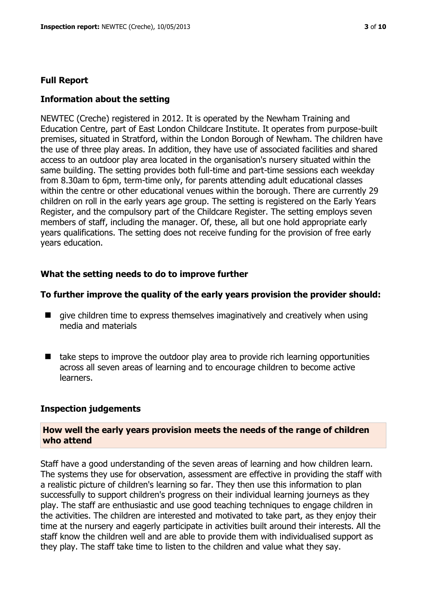#### **Full Report**

#### **Information about the setting**

NEWTEC (Creche) registered in 2012. It is operated by the Newham Training and Education Centre, part of East London Childcare Institute. It operates from purpose-built premises, situated in Stratford, within the London Borough of Newham. The children have the use of three play areas. In addition, they have use of associated facilities and shared access to an outdoor play area located in the organisation's nursery situated within the same building. The setting provides both full-time and part-time sessions each weekday from 8.30am to 6pm, term-time only, for parents attending adult educational classes within the centre or other educational venues within the borough. There are currently 29 children on roll in the early years age group. The setting is registered on the Early Years Register, and the compulsory part of the Childcare Register. The setting employs seven members of staff, including the manager. Of, these, all but one hold appropriate early years qualifications. The setting does not receive funding for the provision of free early years education.

## **What the setting needs to do to improve further**

#### **To further improve the quality of the early years provision the provider should:**

- $\blacksquare$  give children time to express themselves imaginatively and creatively when using media and materials
- $\blacksquare$  take steps to improve the outdoor play area to provide rich learning opportunities across all seven areas of learning and to encourage children to become active learners.

#### **Inspection judgements**

#### **How well the early years provision meets the needs of the range of children who attend**

Staff have a good understanding of the seven areas of learning and how children learn. The systems they use for observation, assessment are effective in providing the staff with a realistic picture of children's learning so far. They then use this information to plan successfully to support children's progress on their individual learning journeys as they play. The staff are enthusiastic and use good teaching techniques to engage children in the activities. The children are interested and motivated to take part, as they enjoy their time at the nursery and eagerly participate in activities built around their interests. All the staff know the children well and are able to provide them with individualised support as they play. The staff take time to listen to the children and value what they say.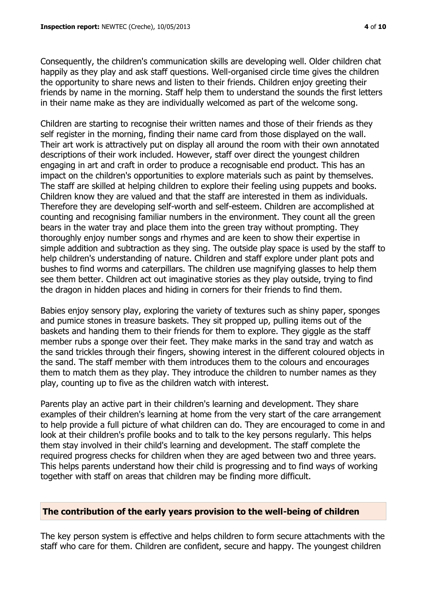Consequently, the children's communication skills are developing well. Older children chat happily as they play and ask staff questions. Well-organised circle time gives the children the opportunity to share news and listen to their friends. Children enjoy greeting their friends by name in the morning. Staff help them to understand the sounds the first letters in their name make as they are individually welcomed as part of the welcome song.

Children are starting to recognise their written names and those of their friends as they self register in the morning, finding their name card from those displayed on the wall. Their art work is attractively put on display all around the room with their own annotated descriptions of their work included. However, staff over direct the youngest children engaging in art and craft in order to produce a recognisable end product. This has an impact on the children's opportunities to explore materials such as paint by themselves. The staff are skilled at helping children to explore their feeling using puppets and books. Children know they are valued and that the staff are interested in them as individuals. Therefore they are developing self-worth and self-esteem. Children are accomplished at counting and recognising familiar numbers in the environment. They count all the green bears in the water tray and place them into the green tray without prompting. They thoroughly enjoy number songs and rhymes and are keen to show their expertise in simple addition and subtraction as they sing. The outside play space is used by the staff to help children's understanding of nature. Children and staff explore under plant pots and bushes to find worms and caterpillars. The children use magnifying glasses to help them see them better. Children act out imaginative stories as they play outside, trying to find the dragon in hidden places and hiding in corners for their friends to find them.

Babies enjoy sensory play, exploring the variety of textures such as shiny paper, sponges and pumice stones in treasure baskets. They sit propped up, pulling items out of the baskets and handing them to their friends for them to explore. They giggle as the staff member rubs a sponge over their feet. They make marks in the sand tray and watch as the sand trickles through their fingers, showing interest in the different coloured objects in the sand. The staff member with them introduces them to the colours and encourages them to match them as they play. They introduce the children to number names as they play, counting up to five as the children watch with interest.

Parents play an active part in their children's learning and development. They share examples of their children's learning at home from the very start of the care arrangement to help provide a full picture of what children can do. They are encouraged to come in and look at their children's profile books and to talk to the key persons regularly. This helps them stay involved in their child's learning and development. The staff complete the required progress checks for children when they are aged between two and three years. This helps parents understand how their child is progressing and to find ways of working together with staff on areas that children may be finding more difficult.

#### **The contribution of the early years provision to the well-being of children**

The key person system is effective and helps children to form secure attachments with the staff who care for them. Children are confident, secure and happy. The youngest children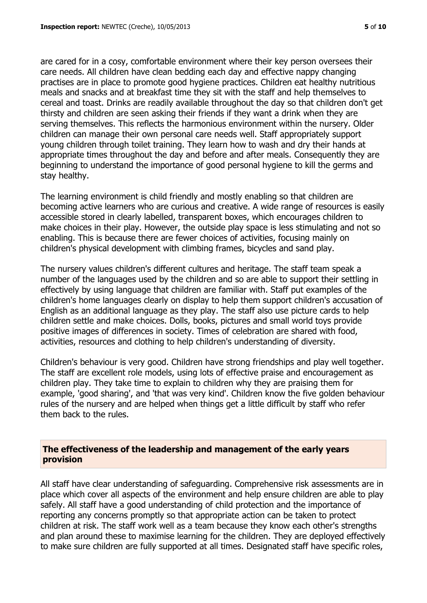are cared for in a cosy, comfortable environment where their key person oversees their care needs. All children have clean bedding each day and effective nappy changing practises are in place to promote good hygiene practices. Children eat healthy nutritious meals and snacks and at breakfast time they sit with the staff and help themselves to cereal and toast. Drinks are readily available throughout the day so that children don't get thirsty and children are seen asking their friends if they want a drink when they are serving themselves. This reflects the harmonious environment within the nursery. Older children can manage their own personal care needs well. Staff appropriately support young children through toilet training. They learn how to wash and dry their hands at appropriate times throughout the day and before and after meals. Consequently they are beginning to understand the importance of good personal hygiene to kill the germs and stay healthy.

The learning environment is child friendly and mostly enabling so that children are becoming active learners who are curious and creative. A wide range of resources is easily accessible stored in clearly labelled, transparent boxes, which encourages children to make choices in their play. However, the outside play space is less stimulating and not so enabling. This is because there are fewer choices of activities, focusing mainly on children's physical development with climbing frames, bicycles and sand play.

The nursery values children's different cultures and heritage. The staff team speak a number of the languages used by the children and so are able to support their settling in effectively by using language that children are familiar with. Staff put examples of the children's home languages clearly on display to help them support children's accusation of English as an additional language as they play. The staff also use picture cards to help children settle and make choices. Dolls, books, pictures and small world toys provide positive images of differences in society. Times of celebration are shared with food, activities, resources and clothing to help children's understanding of diversity.

Children's behaviour is very good. Children have strong friendships and play well together. The staff are excellent role models, using lots of effective praise and encouragement as children play. They take time to explain to children why they are praising them for example, 'good sharing', and 'that was very kind'. Children know the five golden behaviour rules of the nursery and are helped when things get a little difficult by staff who refer them back to the rules.

## **The effectiveness of the leadership and management of the early years provision**

All staff have clear understanding of safeguarding. Comprehensive risk assessments are in place which cover all aspects of the environment and help ensure children are able to play safely. All staff have a good understanding of child protection and the importance of reporting any concerns promptly so that appropriate action can be taken to protect children at risk. The staff work well as a team because they know each other's strengths and plan around these to maximise learning for the children. They are deployed effectively to make sure children are fully supported at all times. Designated staff have specific roles,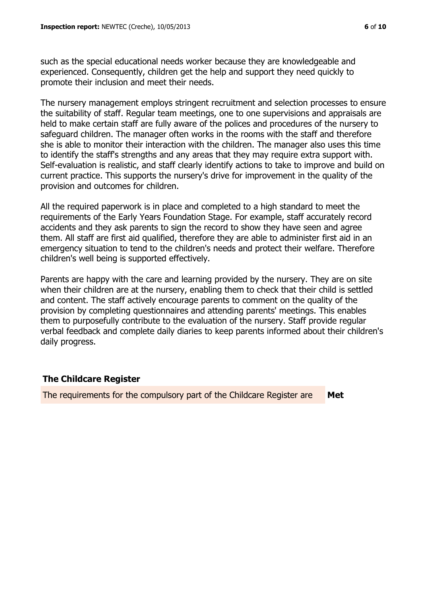such as the special educational needs worker because they are knowledgeable and experienced. Consequently, children get the help and support they need quickly to promote their inclusion and meet their needs.

The nursery management employs stringent recruitment and selection processes to ensure the suitability of staff. Regular team meetings, one to one supervisions and appraisals are held to make certain staff are fully aware of the polices and procedures of the nursery to safeguard children. The manager often works in the rooms with the staff and therefore she is able to monitor their interaction with the children. The manager also uses this time to identify the staff's strengths and any areas that they may require extra support with. Self-evaluation is realistic, and staff clearly identify actions to take to improve and build on current practice. This supports the nursery's drive for improvement in the quality of the provision and outcomes for children.

All the required paperwork is in place and completed to a high standard to meet the requirements of the Early Years Foundation Stage. For example, staff accurately record accidents and they ask parents to sign the record to show they have seen and agree them. All staff are first aid qualified, therefore they are able to administer first aid in an emergency situation to tend to the children's needs and protect their welfare. Therefore children's well being is supported effectively.

Parents are happy with the care and learning provided by the nursery. They are on site when their children are at the nursery, enabling them to check that their child is settled and content. The staff actively encourage parents to comment on the quality of the provision by completing questionnaires and attending parents' meetings. This enables them to purposefully contribute to the evaluation of the nursery. Staff provide regular verbal feedback and complete daily diaries to keep parents informed about their children's daily progress.

#### **The Childcare Register**

The requirements for the compulsory part of the Childcare Register are **Met**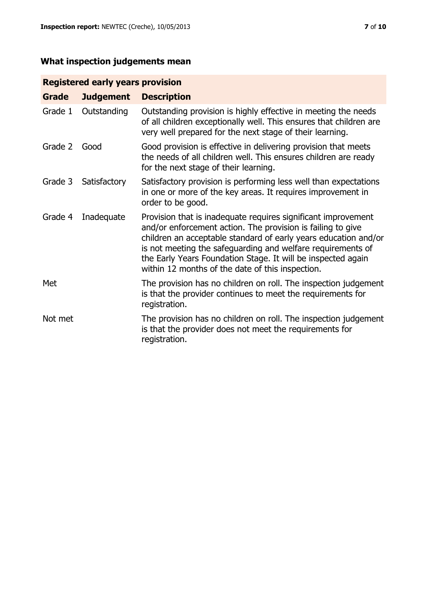# **What inspection judgements mean**

# **Registered early years provision**

| <b>Grade</b> | <b>Judgement</b> | <b>Description</b>                                                                                                                                                                                                                                                                                                                                                                 |
|--------------|------------------|------------------------------------------------------------------------------------------------------------------------------------------------------------------------------------------------------------------------------------------------------------------------------------------------------------------------------------------------------------------------------------|
| Grade 1      | Outstanding      | Outstanding provision is highly effective in meeting the needs<br>of all children exceptionally well. This ensures that children are<br>very well prepared for the next stage of their learning.                                                                                                                                                                                   |
| Grade 2      | Good             | Good provision is effective in delivering provision that meets<br>the needs of all children well. This ensures children are ready<br>for the next stage of their learning.                                                                                                                                                                                                         |
| Grade 3      | Satisfactory     | Satisfactory provision is performing less well than expectations<br>in one or more of the key areas. It requires improvement in<br>order to be good.                                                                                                                                                                                                                               |
| Grade 4      | Inadequate       | Provision that is inadequate requires significant improvement<br>and/or enforcement action. The provision is failing to give<br>children an acceptable standard of early years education and/or<br>is not meeting the safeguarding and welfare requirements of<br>the Early Years Foundation Stage. It will be inspected again<br>within 12 months of the date of this inspection. |
| Met          |                  | The provision has no children on roll. The inspection judgement<br>is that the provider continues to meet the requirements for<br>registration.                                                                                                                                                                                                                                    |
| Not met      |                  | The provision has no children on roll. The inspection judgement<br>is that the provider does not meet the requirements for<br>registration.                                                                                                                                                                                                                                        |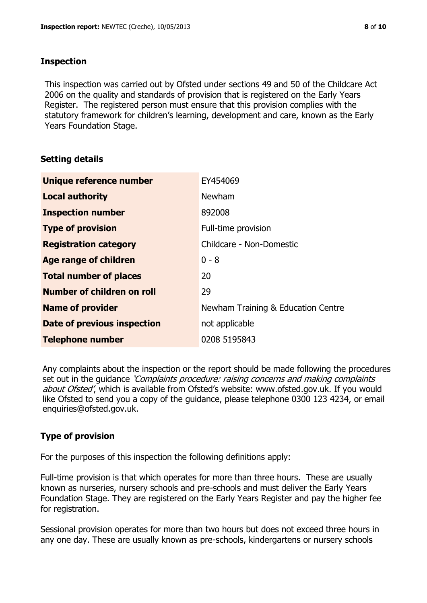# **Inspection**

This inspection was carried out by Ofsted under sections 49 and 50 of the Childcare Act 2006 on the quality and standards of provision that is registered on the Early Years Register. The registered person must ensure that this provision complies with the statutory framework for children's learning, development and care, known as the Early Years Foundation Stage.

# **Setting details**

| Unique reference number            | EY454069                           |
|------------------------------------|------------------------------------|
| <b>Local authority</b>             | <b>Newham</b>                      |
| <b>Inspection number</b>           | 892008                             |
| <b>Type of provision</b>           | Full-time provision                |
| <b>Registration category</b>       | Childcare - Non-Domestic           |
| Age range of children              | $0 - 8$                            |
| <b>Total number of places</b>      | 20                                 |
| Number of children on roll         | 29                                 |
| <b>Name of provider</b>            | Newham Training & Education Centre |
| <b>Date of previous inspection</b> | not applicable                     |
| <b>Telephone number</b>            | 0208 5195843                       |

Any complaints about the inspection or the report should be made following the procedures set out in the guidance *'Complaints procedure: raising concerns and making complaints* about Ofsted', which is available from Ofsted's website: www.ofsted.gov.uk. If you would like Ofsted to send you a copy of the guidance, please telephone 0300 123 4234, or email enquiries@ofsted.gov.uk.

# **Type of provision**

For the purposes of this inspection the following definitions apply:

Full-time provision is that which operates for more than three hours. These are usually known as nurseries, nursery schools and pre-schools and must deliver the Early Years Foundation Stage. They are registered on the Early Years Register and pay the higher fee for registration.

Sessional provision operates for more than two hours but does not exceed three hours in any one day. These are usually known as pre-schools, kindergartens or nursery schools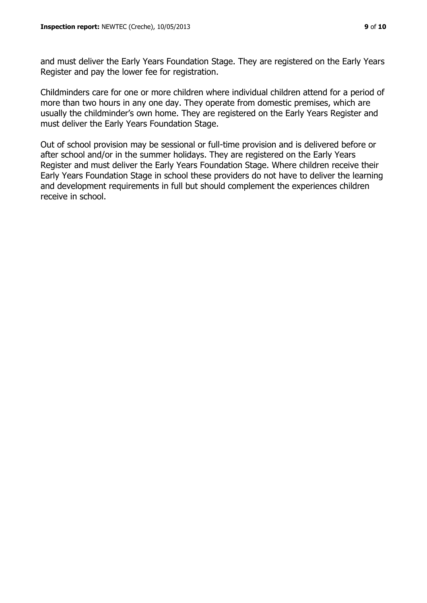and must deliver the Early Years Foundation Stage. They are registered on the Early Years Register and pay the lower fee for registration.

Childminders care for one or more children where individual children attend for a period of more than two hours in any one day. They operate from domestic premises, which are usually the childminder's own home. They are registered on the Early Years Register and must deliver the Early Years Foundation Stage.

Out of school provision may be sessional or full-time provision and is delivered before or after school and/or in the summer holidays. They are registered on the Early Years Register and must deliver the Early Years Foundation Stage. Where children receive their Early Years Foundation Stage in school these providers do not have to deliver the learning and development requirements in full but should complement the experiences children receive in school.